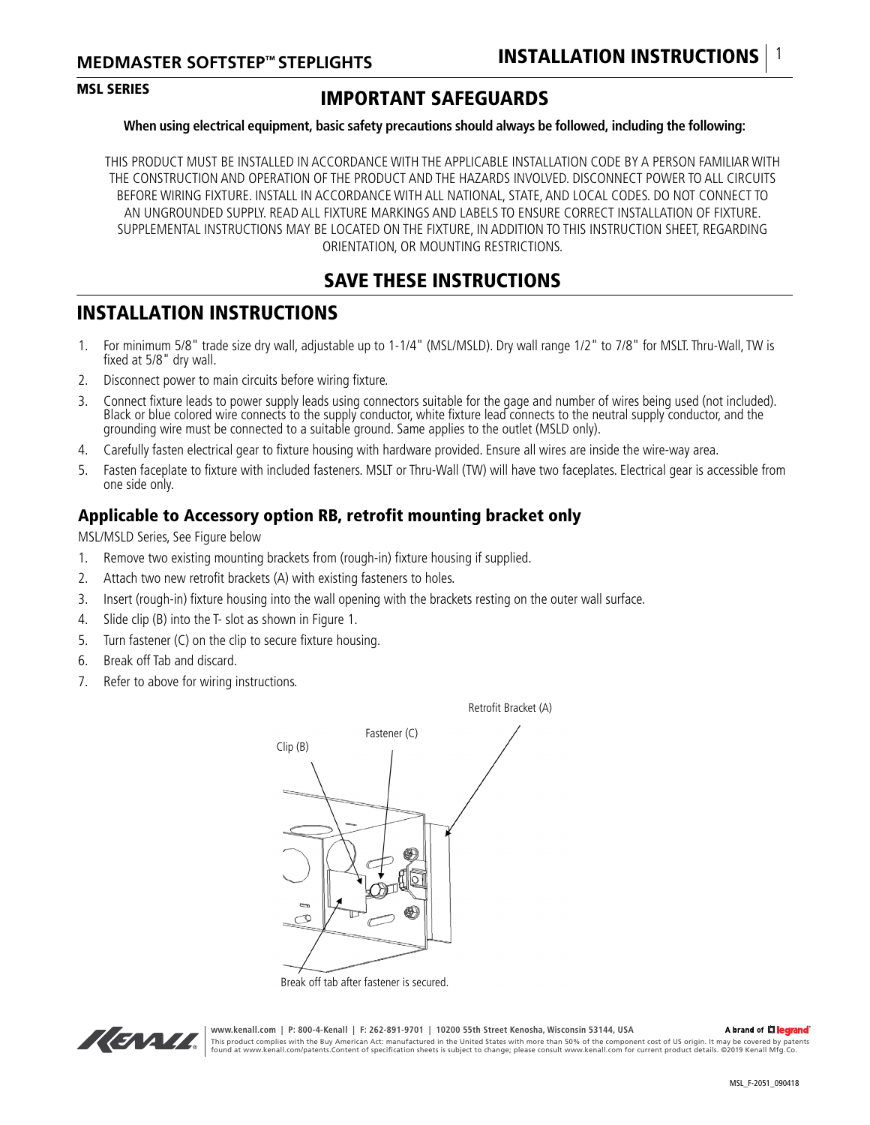#### MSL SERIES

### IMPORTANT SAFEGUARDS

#### **When using electrical equipment, basic safety precautions should always be followed, including the following:**

THIS PRODUCT MUST BE INSTALLED IN ACCORDANCE WITH THE APPLICABLE INSTALLATION CODE BY A PERSON FAMILIAR WITH THE CONSTRUCTION AND OPERATION OF THE PRODUCT AND THE HAZARDS INVOLVED. DISCONNECT POWER TO ALL CIRCUITS BEFORE WIRING FIXTURE. INSTALL IN ACCORDANCE WITH ALL NATIONAL, STATE, AND LOCAL CODES. DO NOT CONNECT TO AN UNGROUNDED SUPPLY. READ ALL FIXTURE MARKINGS AND LABELS TO ENSURE CORRECT INSTALLATION OF FIXTURE. SUPPLEMENTAL INSTRUCTIONS MAY BE LOCATED ON THE FIXTURE, IN ADDITION TO THIS INSTRUCTION SHEET, REGARDING ORIENTATION, OR MOUNTING RESTRICTIONS.

### SAVE THESE INSTRUCTIONS

### INSTALLATION INSTRUCTIONS

- 1. For minimum 5/8" trade size dry wall, adjustable up to 1-1/4" (MSL/MSLD). Dry wall range 1/2" to 7/8" for MSLT. Thru-Wall, TW is fixed at 5/8" dry wall.
- 2. Disconnect power to main circuits before wiring fixture.
- 3. Connect fixture leads to power supply leads using connectors suitable for the gage and number of wires being used (not included). Black or blue colored wire connects to the supply conductor, white fixture lead connects to the neutral supply conductor, and the grounding wire must be connected to a suitable ground. Same applies to the outlet (MSLD only).
- 4. Carefully fasten electrical gear to fixture housing with hardware provided. Ensure all wires are inside the wire-way area.
- 5. Fasten faceplate to fixture with included fasteners. MSLT or Thru-Wall (TW) will have two faceplates. Electrical gear is accessible from one side only.

#### Applicable to Accessory option RB, retrofit mounting bracket only

MSL/MSLD Series, See Figure below

- 1. Remove two existing mounting brackets from (rough-in) fixture housing if supplied.
- 2. Attach two new retrofit brackets (A) with existing fasteners to holes.
- 3. Insert (rough-in) fixture housing into the wall opening with the brackets resting on the outer wall surface.
- 4. Slide clip (B) into the T- slot as shown in Figure 1.
- 5. Turn fastener (C) on the clip to secure fixture housing.
- 6. Break off Tab and discard.
- 7. Refer to above for wiring instructions.



Break off tab after fastener is secured.



**www.kenall.com | P: 800-4-Kenall | F: 262-891-9701 | 10200 55th Street Kenosha, Wisconsin 53144, USA**  A brand of LI legrand This product complies with the Buy American Act: manufactured in the United States with more than 50% of the component cost of US origin. It may be covered by patents<br>found at www.kenall.com/patents.Content of specificatio